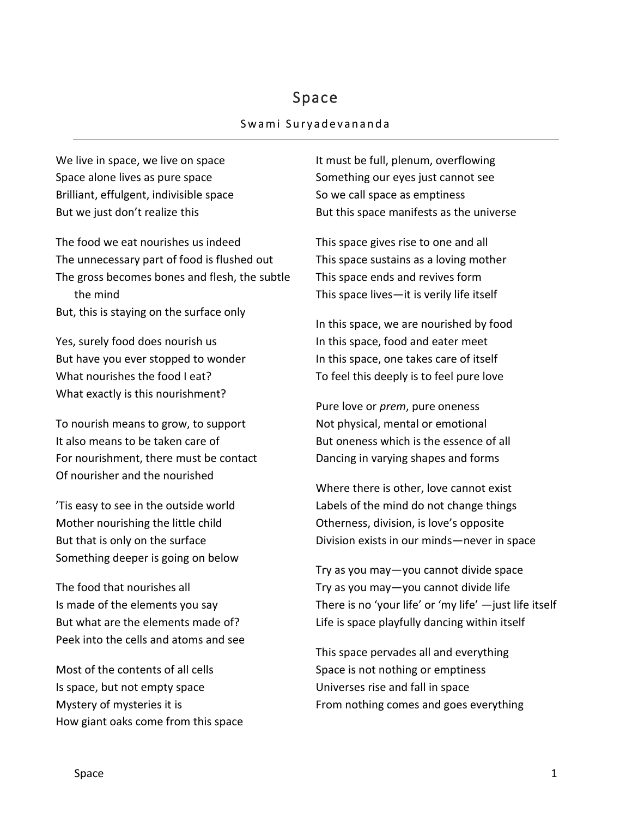## Space

## Swami Suryadevananda

We live in space, we live on space Space alone lives as pure space Brilliant, effulgent, indivisible space But we just don't realize this

The food we eat nourishes us indeed The unnecessary part of food is flushed out The gross becomes bones and flesh, the subtle the mind But, this is staying on the surface only

Yes, surely food does nourish us But have you ever stopped to wonder What nourishes the food I eat? What exactly is this nourishment?

To nourish means to grow, to support It also means to be taken care of For nourishment, there must be contact Of nourisher and the nourished

'Tis easy to see in the outside world Mother nourishing the little child But that is only on the surface Something deeper is going on below

The food that nourishes all Is made of the elements you say But what are the elements made of? Peek into the cells and atoms and see

Most of the contents of all cells Is space, but not empty space Mystery of mysteries it is How giant oaks come from this space It must be full, plenum, overflowing Something our eyes just cannot see So we call space as emptiness But this space manifests as the universe

This space gives rise to one and all This space sustains as a loving mother This space ends and revives form This space lives—it is verily life itself

In this space, we are nourished by food In this space, food and eater meet In this space, one takes care of itself To feel this deeply is to feel pure love

Pure love or *prem*, pure oneness Not physical, mental or emotional But oneness which is the essence of all Dancing in varying shapes and forms

Where there is other, love cannot exist Labels of the mind do not change things Otherness, division, is love's opposite Division exists in our minds—never in space

Try as you may—you cannot divide space Try as you may—you cannot divide life There is no 'your life' or 'my life' —just life itself Life is space playfully dancing within itself

This space pervades all and everything Space is not nothing or emptiness Universes rise and fall in space From nothing comes and goes everything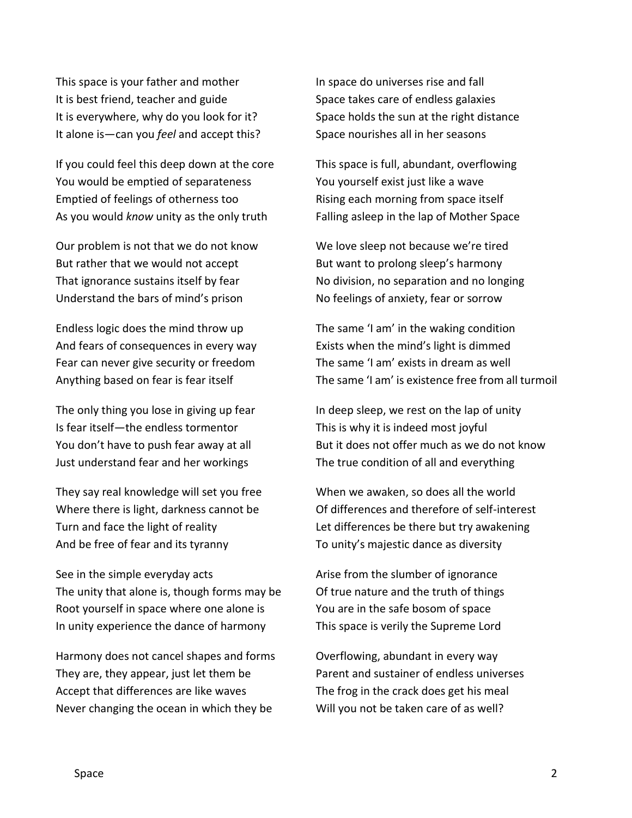This space is your father and mother It is best friend, teacher and guide It is everywhere, why do you look for it? It alone is—can you *feel* and accept this?

If you could feel this deep down at the core You would be emptied of separateness Emptied of feelings of otherness too As you would *know* unity as the only truth

Our problem is not that we do not know But rather that we would not accept That ignorance sustains itself by fear Understand the bars of mind's prison

Endless logic does the mind throw up And fears of consequences in every way Fear can never give security or freedom Anything based on fear is fear itself

The only thing you lose in giving up fear Is fear itself—the endless tormentor You don't have to push fear away at all Just understand fear and her workings

They say real knowledge will set you free Where there is light, darkness cannot be Turn and face the light of reality And be free of fear and its tyranny

See in the simple everyday acts The unity that alone is, though forms may be Root yourself in space where one alone is In unity experience the dance of harmony

Harmony does not cancel shapes and forms They are, they appear, just let them be Accept that differences are like waves Never changing the ocean in which they be

In space do universes rise and fall Space takes care of endless galaxies Space holds the sun at the right distance Space nourishes all in her seasons

This space is full, abundant, overflowing You yourself exist just like a wave Rising each morning from space itself Falling asleep in the lap of Mother Space

We love sleep not because we're tired But want to prolong sleep's harmony No division, no separation and no longing No feelings of anxiety, fear or sorrow

The same 'I am' in the waking condition Exists when the mind's light is dimmed The same 'I am' exists in dream as well The same 'I am' is existence free from all turmoil

In deep sleep, we rest on the lap of unity This is why it is indeed most joyful But it does not offer much as we do not know The true condition of all and everything

When we awaken, so does all the world Of differences and therefore of self-interest Let differences be there but try awakening To unity's majestic dance as diversity

Arise from the slumber of ignorance Of true nature and the truth of things You are in the safe bosom of space This space is verily the Supreme Lord

Overflowing, abundant in every way Parent and sustainer of endless universes The frog in the crack does get his meal Will you not be taken care of as well?